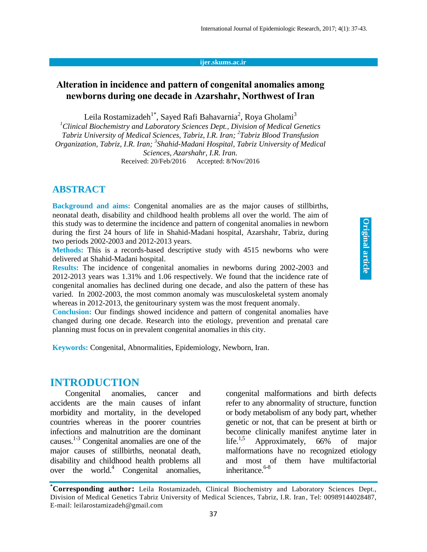#### **ijer.skums.ac.ir**

### **Alteration in incidence and pattern of congenital anomalies among newborns during one decade in Azarshahr, Northwest of Iran**

Leila Rostamizadeh $^{1^*}$ , Sayed Rafi Bahavarnia $^2$ , Roya Gholami $^3$ 

*<sup>1</sup>Clinical Biochemistry and Laboratory Sciences Dept., Division of Medical Genetics Tabriz University of Medical Sciences, Tabriz, I.R. Iran; 2 Tabriz Blood Transfusion Organization, Tabriz, I.R. Iran; <sup>3</sup> Shahid-Madani Hospital, Tabriz University of Medical Sciences, Azarshahr, I.R. Iran.* Received: 20/Feb/2016 Accepted: 8/Nov/2016

### **ABSTRACT**

**Background and aims:** Congenital anomalies are as the major causes of stillbirths, neonatal death, disability and childhood health problems all over the world. The aim of this study was to determine the incidence and pattern of congenital anomalies in newborn during the first 24 hours of life in Shahid-Madani hospital, Azarshahr, Tabriz, during two periods 2002-2003 and 2012-2013 years.

**Methods:** This is a records-based descriptive study with 4515 newborns who were delivered at Shahid-Madani hospital.

**Results:** The incidence of congenital anomalies in newborns during 2002-2003 and 2012-2013 years was 1.31% and 1.06 respectively. We found that the incidence rate of congenital anomalies has declined during one decade, and also the pattern of these has varied. In 2002-2003, the most common anomaly was musculoskeletal system anomaly whereas in 2012-2013, the genitourinary system was the most frequent anomaly.

**Conclusion:** Our findings showed incidence and pattern of congenital anomalies have changed during one decade. Research into the etiology, prevention and prenatal care planning must focus on in prevalent congenital anomalies in this city.

**Keywords:** Congenital, Abnormalities, Epidemiology, Newborn, Iran.

### **INTRODUCTION**

Congenital anomalies, cancer and accidents are the main causes of infant morbidity and mortality, in the developed countries whereas in the poorer countries infections and malnutrition are the dominant causes. $1-3$  Congenital anomalies are one of the major causes of stillbirths, neonatal death, disability and childhood health problems all over the world. <sup>4</sup> Congenital anomalies, congenital malformations and birth defects refer to any abnormality of structure, function or body metabolism of any body part, whether genetic or not, that can be present at birth or become clinically manifest anytime later in  $life.$ <sup>1,5</sup> Approximately, 66% of major malformations have no recognized etiology and most of them have multifactorial inheritance. 6-8

**Original article**

**<sup>\*</sup>Corresponding author:** Leila Rostamizadeh, Clinical Biochemistry and Laboratory Sciences Dept., Division of Medical Genetics Tabriz University of Medical Sciences, Tabriz, I.R. Iran, Tel: 00989144028487, E-mail: leilarostamizadeh@gmail.com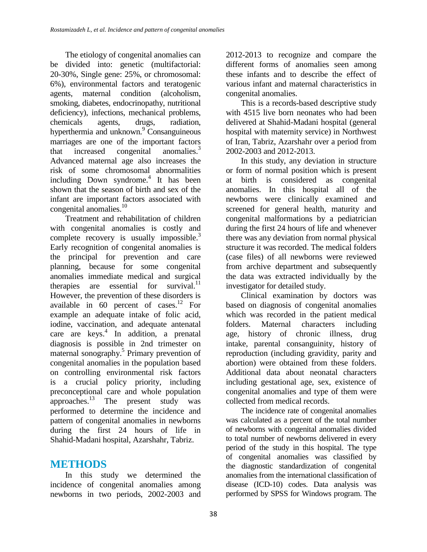The etiology of congenital anomalies can be divided into: genetic (multifactorial: 20-30%, Single gene: 25%, or chromosomal: 6%), environmental factors and teratogenic agents, maternal condition (alcoholism, smoking, diabetes, endocrinopathy, nutritional deficiency), infections, mechanical problems, chemicals agents, drugs, radiation, hyperthermia and unknown.<sup>9</sup> Consanguineous marriages are one of the important factors that increased congenital anomalies<sup>3</sup> Advanced maternal age also increases the risk of some chromosomal abnormalities including Down syndrome. 4 It has been shown that the season of birth and sex of the infant are important factors associated with congenital anomalies. 10

Treatment and rehabilitation of children with congenital anomalies is costly and complete recovery is usually impossible.<sup>3</sup> Early recognition of congenital anomalies is the principal for prevention and care planning, because for some congenital anomalies immediate medical and surgical therapies are essential for survival.<sup>11</sup> However, the prevention of these disorders is available in 60 percent of cases. <sup>12</sup> For example an adequate intake of folic acid, iodine, vaccination, and adequate antenatal care are keys. 4 In addition, a prenatal diagnosis is possible in 2nd trimester on maternal sonography. 5 Primary prevention of congenital anomalies in the population based on controlling environmental risk factors is a crucial policy priority, including preconceptional care and whole population approaches.<sup>13</sup> The present study was performed to determine the incidence and pattern of congenital anomalies in newborns during the first 24 hours of life in Shahid-Madani hospital, Azarshahr, Tabriz.

## **METHODS**

In this study we determined the incidence of congenital anomalies among newborns in two periods, 2002-2003 and 2012-2013 to recognize and compare the different forms of anomalies seen among these infants and to describe the effect of various infant and maternal characteristics in congenital anomalies.

This is a records-based descriptive study with 4515 live born neonates who had been delivered at Shahid-Madani hospital (general hospital with maternity service) in Northwest of Iran, Tabriz, Azarshahr over a period from 2002-2003 and 2012-2013.

In this study, any deviation in structure or form of normal position which is present at birth is considered as congenital anomalies. In this hospital all of the newborns were clinically examined and screened for general health, maturity and congenital malformations by a pediatrician during the first 24 hours of life and whenever there was any deviation from normal physical structure it was recorded. The medical folders (case files) of all newborns were reviewed from archive department and subsequently the data was extracted individually by the investigator for detailed study.

Clinical examination by doctors was based on diagnosis of congenital anomalies which was recorded in the patient medical folders. Maternal characters including age, history of chronic illness, drug intake, parental consanguinity, history of reproduction (including gravidity, parity and abortion) were obtained from these folders. Additional data about neonatal characters including gestational age, sex, existence of congenital anomalies and type of them were collected from medical records.

The incidence rate of congenital anomalies was calculated as a percent of the total number of newborns with congenital anomalies divided to total number of newborns delivered in every period of the study in this hospital. The type of congenital anomalies was classified by the diagnostic standardization of congenital anomalies from the international classification of disease (ICD-10) codes. Data analysis was performed by SPSS for Windows program. The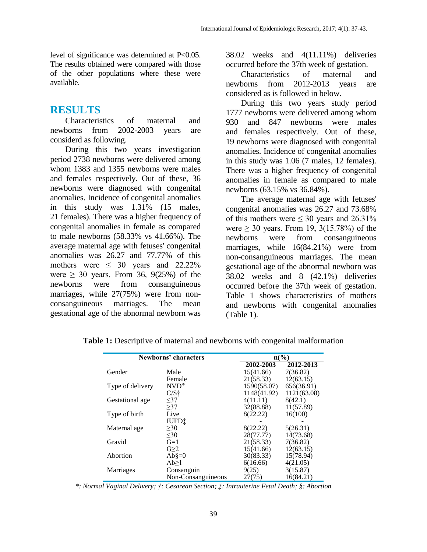level of significance was determined at P<0.05. The results obtained were compared with those of the other populations where these were available.

## **RESULTS**

Characteristics of maternal and newborns from 2002-2003 years are considerd as following.

During this two years investigation period 2738 newborns were delivered among whom 1383 and 1355 newborns were males and females respectively. Out of these, 36 newborns were diagnosed with congenital anomalies. Incidence of congenital anomalies in this study was 1.31% (15 males, 21 females). There was a higher frequency of congenital anomalies in female as compared to male newborns (58.33% vs 41.66%). The average maternal age with fetuses' congenital anomalies was 26.27 and 77.77% of this mothers were  $\leq 30$  years and 22.22% were  $\geq$  30 years. From 36, 9(25%) of the newborns were from consanguineous marriages, while 27(75%) were from nonconsanguineous marriages. The mean gestational age of the abnormal newborn was

38.02 weeks and 4(11.11%) deliveries occurred before the 37th week of gestation.

Characteristics of maternal and newborns from 2012-2013 years are considered as is followed in below.

During this two years study period 1777 newborns were delivered among whom 930 and 847 newborns were males and females respectively. Out of these, 19 newborns were diagnosed with congenital anomalies. Incidence of congenital anomalies in this study was 1.06 (7 males, 12 females). There was a higher frequency of congenital anomalies in female as compared to male newborns (63.15% vs 36.84%).

The average maternal age with fetuses' congenital anomalies was 26.27 and 73.68% of this mothers were  $\leq 30$  years and 26.31% were  $\geq$  30 years. From 19, 3(15.78%) of the newborns were from consanguineous marriages, while 16(84.21%) were from non-consanguineous marriages. The mean gestational age of the abnormal newborn was 38.02 weeks and 8 (42.1%) deliveries occurred before the 37th week of gestation. Table 1 shows characteristics of mothers and newborns with congenital anomalies (Table 1).

| Newborns' characters |                     | $n\left(\frac{0}{0}\right)$ |             |  |
|----------------------|---------------------|-----------------------------|-------------|--|
|                      |                     | 2002-2003                   | 2012-2013   |  |
| Gender               | Male                | 15(41.66)                   | 7(36.82)    |  |
|                      | Female              | 21(58.33)                   | 12(63.15)   |  |
| Type of delivery     | $NVD^*$             | 1590(58.07)                 | 656(36.91)  |  |
|                      | $C/S\dot{\uparrow}$ | 1148(41.92)                 | 1121(63.08) |  |
| Gestational age      | <37                 | 4(11.11)                    | 8(42.1)     |  |
|                      | >37                 | 32(88.88)                   | 11(57.89)   |  |
| Type of birth        | Live                | 8(22.22)                    | 16(100)     |  |
|                      | IUFD <sup>+</sup>   |                             |             |  |
| Maternal age         | $\geq 30$           | 8(22.22)                    | 5(26.31)    |  |
|                      | $30$                | 28(77.77)                   | 14(73.68)   |  |
| Gravid               | $G=1$               | 21(58.33)                   | 7(36.82)    |  |
|                      | $G \geq 2$          | 15(41.66)                   | 12(63.15)   |  |
| Abortion             | $Ab\$ =0            | 30(83.33)                   | 15(78.94)   |  |
|                      | $Ab \geq 1$         | 6(16.66)                    | 4(21.05)    |  |
| Marriages            | Consanguin          | 9(25)                       | 3(15.87)    |  |
|                      | Non-Consanguineous  | 27(75)                      | 16(84.21)   |  |

**Table 1:** Descriptive of maternal and newborns with congenital malformation

*\*: Normal Vaginal Delivery; †: Cesarean Section; ‡: Intrauterine Fetal Death; §: Abortion*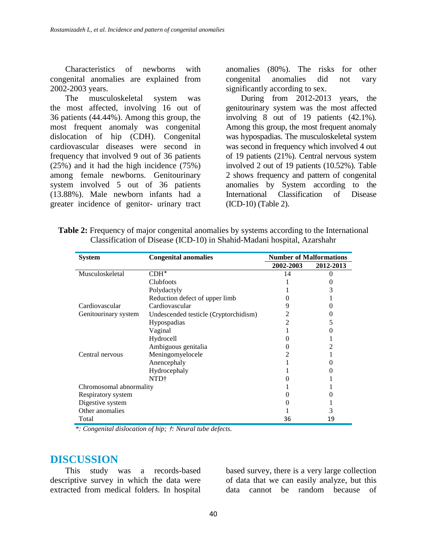Characteristics of newborns with congenital anomalies are explained from 2002-2003 years.

The musculoskeletal system was the most affected, involving 16 out of 36 patients (44.44%). Among this group, the most frequent anomaly was congenital dislocation of hip (CDH). Congenital cardiovascular diseases were second in frequency that involved 9 out of 36 patients (25%) and it had the high incidence (75%) among female newborns. Genitourinary system involved 5 out of 36 patients (13.88%). Male newborn infants had a greater incidence of genitor- urinary tract anomalies (80%). The risks for other congenital anomalies did not vary significantly according to sex.

During from 2012-2013 years, the genitourinary system was the most affected involving 8 out of 19 patients (42.1%). Among this group, the most frequent anomaly was hypospadias. The musculoskeletal system was second in frequency which involved 4 out of 19 patients (21%). Central nervous system involved 2 out of 19 patients (10.52%). Table 2 shows frequency and pattern of congenital anomalies by System according to the International Classification of Disease (ICD-10) (Table 2).

| <b>Table 2:</b> Frequency of major congenital anomalies by systems according to the International |
|---------------------------------------------------------------------------------------------------|
| Classification of Disease (ICD-10) in Shahid-Madani hospital, Azarshahr                           |

| <b>System</b>           | <b>Congenital anomalies</b>           | <b>Number of Malformations</b> |           |
|-------------------------|---------------------------------------|--------------------------------|-----------|
|                         |                                       | 2002-2003                      | 2012-2013 |
| Musculoskeletal         | $CDH^*$                               | 14                             |           |
|                         | <b>Clubfoots</b>                      |                                |           |
|                         | Polydactyly                           |                                | 3         |
|                         | Reduction defect of upper limb        |                                |           |
| Cardiovascular          | Cardiovascular                        |                                |           |
| Genitourinary system    | Undescended testicle (Cryptorchidism) |                                |           |
|                         | Hypospadias                           |                                |           |
|                         | Vaginal                               |                                |           |
|                         | Hydrocell                             |                                |           |
|                         | Ambiguous genitalia                   |                                |           |
| Central nervous         | Meningomyelocele                      |                                |           |
|                         | Anencephaly                           |                                |           |
|                         | Hydrocephaly                          |                                |           |
|                         | NTD†                                  |                                |           |
| Chromosomal abnormality |                                       |                                |           |
| Respiratory system      |                                       |                                |           |
| Digestive system        |                                       |                                |           |
| Other anomalies         |                                       |                                |           |
| Total                   |                                       | 36                             | 19        |

*\*: Congenital dislocation of hip;* †*: Neural tube defects.*

#### **DISCUSSION**

This study was a records-based descriptive survey in which the data were extracted from medical folders. In hospital

based survey, there is a very large collection of data that we can easily analyze, but this data cannot be random because of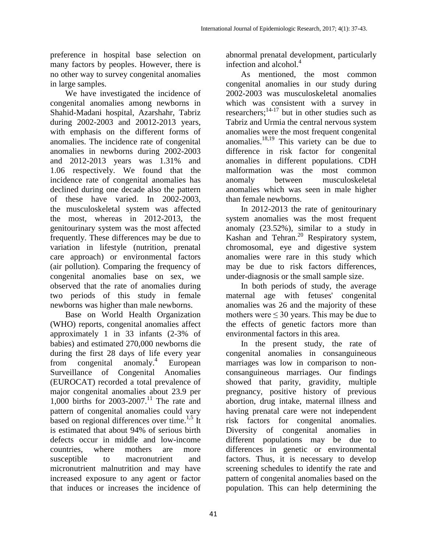preference in hospital base selection on many factors by peoples. However, there is no other way to survey congenital anomalies in large samples.

We have investigated the incidence of congenital anomalies among newborns in Shahid-Madani hospital, Azarshahr, Tabriz during 2002-2003 and 20012-2013 years, with emphasis on the different forms of anomalies. The incidence rate of congenital anomalies in newborns during 2002-2003 and 2012-2013 years was 1.31% and 1.06 respectively. We found that the incidence rate of congenital anomalies has declined during one decade also the pattern of these have varied. In 2002-2003, the musculoskeletal system was affected the most, whereas in 2012-2013, the genitourinary system was the most affected frequently. These differences may be due to variation in lifestyle (nutrition, prenatal care approach) or environmental factors (air pollution). Comparing the frequency of congenital anomalies base on sex, we observed that the rate of anomalies during two periods of this study in female newborns was higher than male newborns.

Base on World Health Organization (WHO) reports, congenital anomalies affect approximately 1 in 33 infants (2-3% of babies) and estimated 270,000 newborns die during the first 28 days of life every year from congenital anomaly. $4$ European Surveillance of Congenital Anomalies (EUROCAT) recorded a total prevalence of major congenital anomalies about 23.9 per 1,000 births for 2003-2007. <sup>11</sup> The rate and pattern of congenital anomalies could vary based on regional differences over time.<sup>1,5</sup> It is estimated that about 94% of serious birth defects occur in middle and low-income countries, where mothers are more susceptible to macronutrient and micronutrient malnutrition and may have increased exposure to any agent or factor that induces or increases the incidence of

abnormal prenatal development, particularly infection and alcohol. 4

As mentioned, the most common congenital anomalies in our study during 2002-2003 was musculoskeletal anomalies which was consistent with a survey in researchers; $14-17$  but in other studies such as Tabriz and Urmia the central nervous system anomalies were the most frequent congenital anomalies.<sup>18,19</sup> This variety can be due to difference in risk factor for congenital anomalies in different populations. CDH malformation was the most common anomaly between musculoskeletal anomalies which was seen in male higher than female newborns.

In 2012-2013 the rate of genitourinary system anomalies was the most frequent anomaly (23.52%), similar to a study in Kashan and Tehran.<sup>20</sup> Respiratory system, chromosomal, eye and digestive system anomalies were rare in this study which may be due to risk factors differences, under-diagnosis or the small sample size.

In both periods of study, the average maternal age with fetuses' congenital anomalies was 26 and the majority of these mothers were ≤ 30 years. This may be due to the effects of genetic factors more than environmental factors in this area.

In the present study, the rate of congenital anomalies in consanguineous marriages was low in comparison to nonconsanguineous marriages. Our findings showed that parity, gravidity, multiple pregnancy, positive history of previous abortion, drug intake, maternal illness and having prenatal care were not independent risk factors for congenital anomalies. Diversity of congenital anomalies in different populations may be due to differences in genetic or environmental factors. Thus, it is necessary to develop screening schedules to identify the rate and pattern of congenital anomalies based on the population. This can help determining the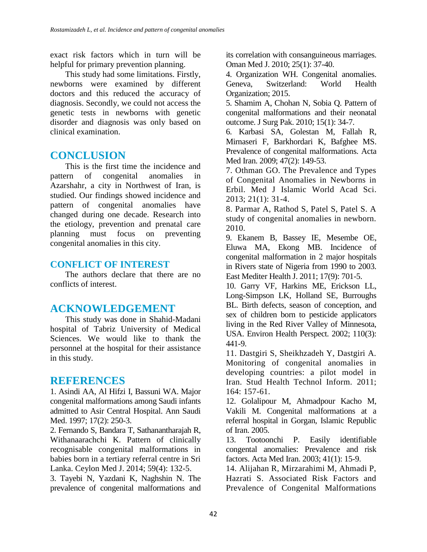exact risk factors which in turn will be helpful for primary prevention planning.

This study had some limitations. Firstly, newborns were examined by different doctors and this reduced the accuracy of diagnosis. Secondly, we could not access the genetic tests in newborns with genetic disorder and diagnosis was only based on clinical examination.

# **CONCLUSION**

This is the first time the incidence and pattern of congenital anomalies in Azarshahr, a city in Northwest of Iran, is studied. Our findings showed incidence and pattern of congenital anomalies have changed during one decade. Research into the etiology, prevention and prenatal care planning must focus on preventing congenital anomalies in this city.

### **CONFLICT OF INTEREST**

The authors declare that there are no conflicts of interest.

# **ACKNOWLEDGEMENT**

This study was done in Shahid-Madani hospital of Tabriz University of Medical Sciences. We would like to thank the personnel at the hospital for their assistance in this study.

## **REFERENCES**

1. Asindi AA, Al Hifzi I, Bassuni WA. Major congenital malformations among Saudi infants admitted to Asir Central Hospital. Ann Saudi Med. 1997; 17(2): 250-3.

2. Fernando S, Bandara T, Sathanantharajah R, Withanaarachchi K. Pattern of clinically recognisable congenital malformations in babies born in a tertiary referral centre in Sri Lanka. Ceylon Med J. 2014; 59(4): 132-5.

3. Tayebi N, Yazdani K, Naghshin N. The prevalence of congenital malformations and

its correlation with consanguineous marriages. Oman Med J. 2010; 25(1): 37-40.

4. Organization WH. Congenital anomalies. Geneva, Switzerland: World Health Organization; 2015.

5. Shamim A, Chohan N, Sobia Q. Pattern of congenital malformations and their neonatal outcome. J Surg Pak. 2010; 15(1): 34-7.

6. Karbasi SA, Golestan M, Fallah R, Mirnaseri F, Barkhordari K, Bafghee MS. Prevalence of congenital malformations. Acta Med Iran. 2009; 47(2): 149-53.

7. Othman GO. The Prevalence and Types of Congenital Anomalies in Newborns in Erbil. Med J Islamic World Acad Sci. 2013; 21(1): 31-4.

8. Parmar A, Rathod S, Patel S, Patel S. A study of congenital anomalies in newborn. 2010.

9. Ekanem B, Bassey IE, Mesembe OE, Eluwa MA, Ekong MB. Incidence of congenital malformation in 2 major hospitals in Rivers state of Nigeria from 1990 to 2003. East Mediter Health J. 2011; 17(9): 701-5.

10. Garry VF, Harkins ME, Erickson LL, Long-Simpson LK, Holland SE, Burroughs BL. Birth defects, season of conception, and sex of children born to pesticide applicators living in the Red River Valley of Minnesota, USA. Environ Health Perspect. 2002; 110(3): 441-9.

11. Dastgiri S, Sheikhzadeh Y, Dastgiri A. Monitoring of congenital anomalies in developing countries: a pilot model in Iran. Stud Health Technol Inform. 2011; 164: 157-61.

12. Golalipour M, Ahmadpour Kacho M, Vakili M. Congenital malformations at a referral hospital in Gorgan, Islamic Republic of Iran. 2005.

13. Tootoonchi P. Easily identifiable congental anomalies: Prevalence and risk factors. Acta Med Iran. 2003; 41(1): 15-9.

14. Alijahan R, Mirzarahimi M, Ahmadi P, Hazrati S. Associated Risk Factors and Prevalence of Congenital Malformations